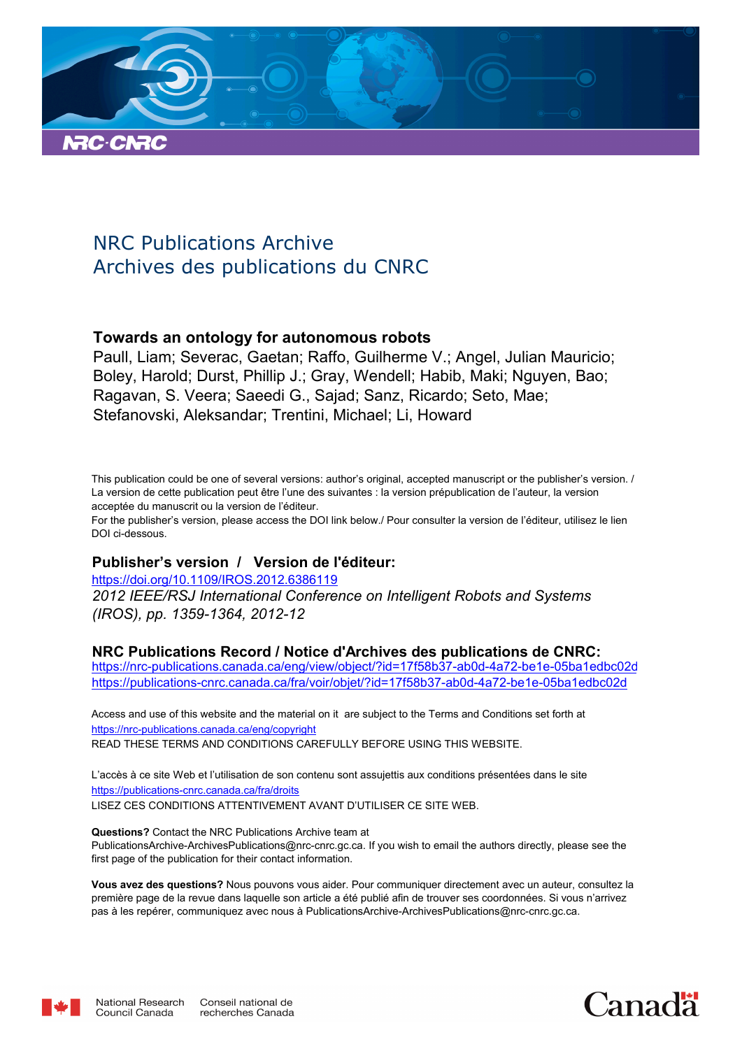

# NRC Publications Archive Archives des publications du CNRC

# **Towards an ontology for autonomous robots**

Paull, Liam; Severac, Gaetan; Raffo, Guilherme V.; Angel, Julian Mauricio; Boley, Harold; Durst, Phillip J.; Gray, Wendell; Habib, Maki; Nguyen, Bao; Ragavan, S. Veera; Saeedi G., Sajad; Sanz, Ricardo; Seto, Mae; Stefanovski, Aleksandar; Trentini, Michael; Li, Howard

This publication could be one of several versions: author's original, accepted manuscript or the publisher's version. / La version de cette publication peut être l'une des suivantes : la version prépublication de l'auteur, la version acceptée du manuscrit ou la version de l'éditeur.

For the publisher's version, please access the DOI link below./ Pour consulter la version de l'éditeur, utilisez le lien DOI ci-dessous.

# **Publisher's version / Version de l'éditeur:**

*2012 IEEE/RSJ International Conference on Intelligent Robots and Systems (IROS), pp. 1359-1364, 2012-12* https://doi.org/10.1109/IROS.2012.6386119

# **NRC Publications Record / Notice d'Archives des publications de CNRC:**

https://nrc-publications.canada.ca/eng/view/object/?id=17f58b37-ab0d-4a72-be1e-05ba1edbc02d https://publications-cnrc.canada.ca/fra/voir/objet/?id=17f58b37-ab0d-4a72-be1e-05ba1edbc02d

READ THESE TERMS AND CONDITIONS CAREFULLY BEFORE USING THIS WEBSITE. https://nrc-publications.canada.ca/eng/copyright Access and use of this website and the material on it are subject to the Terms and Conditions set forth at

https://publications-cnrc.canada.ca/fra/droits L'accès à ce site Web et l'utilisation de son contenu sont assujettis aux conditions présentées dans le site LISEZ CES CONDITIONS ATTENTIVEMENT AVANT D'UTILISER CE SITE WEB.

**Questions?** Contact the NRC Publications Archive team at PublicationsArchive-ArchivesPublications@nrc-cnrc.gc.ca. If you wish to email the authors directly, please see the first page of the publication for their contact information.

**Vous avez des questions?** Nous pouvons vous aider. Pour communiquer directement avec un auteur, consultez la première page de la revue dans laquelle son article a été publié afin de trouver ses coordonnées. Si vous n'arrivez pas à les repérer, communiquez avec nous à PublicationsArchive-ArchivesPublications@nrc-cnrc.gc.ca.



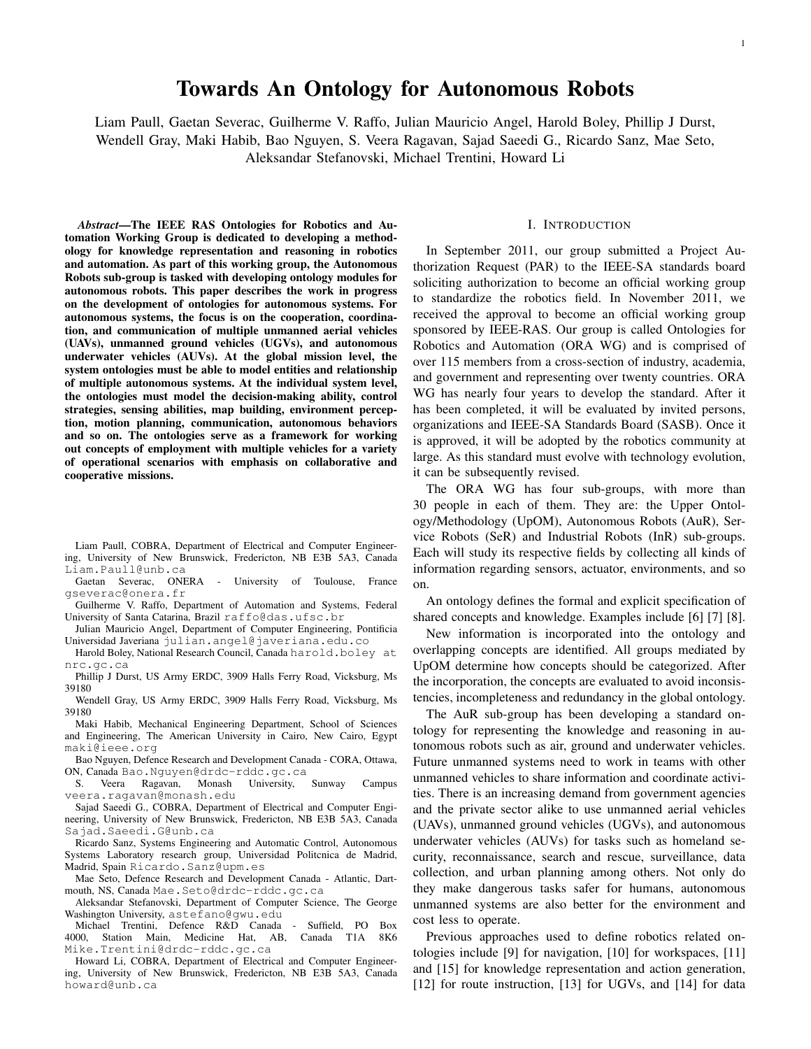# Towards An Ontology for Autonomous Robots

Liam Paull, Gaetan Severac, Guilherme V. Raffo, Julian Mauricio Angel, Harold Boley, Phillip J Durst, Wendell Gray, Maki Habib, Bao Nguyen, S. Veera Ragavan, Sajad Saeedi G., Ricardo Sanz, Mae Seto, Aleksandar Stefanovski, Michael Trentini, Howard Li

*Abstract*—The IEEE RAS Ontologies for Robotics and Automation Working Group is dedicated to developing a methodology for knowledge representation and reasoning in robotics and automation. As part of this working group, the Autonomous Robots sub-group is tasked with developing ontology modules for autonomous robots. This paper describes the work in progress on the development of ontologies for autonomous systems. For autonomous systems, the focus is on the cooperation, coordination, and communication of multiple unmanned aerial vehicles (UAVs), unmanned ground vehicles (UGVs), and autonomous underwater vehicles (AUVs). At the global mission level, the system ontologies must be able to model entities and relationship of multiple autonomous systems. At the individual system level, the ontologies must model the decision-making ability, control strategies, sensing abilities, map building, environment perception, motion planning, communication, autonomous behaviors and so on. The ontologies serve as a framework for working out concepts of employment with multiple vehicles for a variety of operational scenarios with emphasis on collaborative and cooperative missions.

Liam Paull, COBRA, Department of Electrical and Computer Engineering, University of New Brunswick, Fredericton, NB E3B 5A3, Canada Liam.Paull@unb.ca

Gaetan Severac, ONERA - University of Toulouse, France gseverac@onera.fr

Guilherme V. Raffo, Department of Automation and Systems, Federal University of Santa Catarina, Brazil raffo@das.ufsc.br

Julian Mauricio Angel, Department of Computer Engineering, Pontificia Universidad Javeriana julian.angel@javeriana.edu.co

Harold Boley, National Research Council, Canada harold.boley at nrc.gc.ca

Phillip J Durst, US Army ERDC, 3909 Halls Ferry Road, Vicksburg, Ms 39180

Wendell Gray, US Army ERDC, 3909 Halls Ferry Road, Vicksburg, Ms 39180

Maki Habib, Mechanical Engineering Department, School of Sciences and Engineering, The American University in Cairo, New Cairo, Egypt maki@ieee.org

Bao Nguyen, Defence Research and Development Canada - CORA, Ottawa, ON, Canada Bao.Nguyen@drdc-rddc.gc.ca

S. Veera Ragavan, Monash University, Sunway Campus veera.ragavan@monash.edu

Sajad Saeedi G., COBRA, Department of Electrical and Computer Engineering, University of New Brunswick, Fredericton, NB E3B 5A3, Canada Sajad.Saeedi.G@unb.ca

Ricardo Sanz, Systems Engineering and Automatic Control, Autonomous Systems Laboratory research group, Universidad Politcnica de Madrid, Madrid, Spain Ricardo.Sanz@upm.es

Mae Seto, Defence Research and Development Canada - Atlantic, Dartmouth, NS, Canada Mae.Seto@drdc-rddc.gc.ca

Aleksandar Stefanovski, Department of Computer Science, The George Washington University, astefano@gwu.edu

Michael Trentini, Defence R&D Canada - Suffield, PO Box 4000, Station Main, Medicine Hat, AB, Canada T1A 8K6 Mike.Trentini@drdc-rddc.gc.ca

Howard Li, COBRA, Department of Electrical and Computer Engineering, University of New Brunswick, Fredericton, NB E3B 5A3, Canada howard@unb.ca

#### I. INTRODUCTION

In September 2011, our group submitted a Project Authorization Request (PAR) to the IEEE-SA standards board soliciting authorization to become an official working group to standardize the robotics field. In November 2011, we received the approval to become an official working group sponsored by IEEE-RAS. Our group is called Ontologies for Robotics and Automation (ORA WG) and is comprised of over 115 members from a cross-section of industry, academia, and government and representing over twenty countries. ORA WG has nearly four years to develop the standard. After it has been completed, it will be evaluated by invited persons, organizations and IEEE-SA Standards Board (SASB). Once it is approved, it will be adopted by the robotics community at large. As this standard must evolve with technology evolution, it can be subsequently revised.

The ORA WG has four sub-groups, with more than 30 people in each of them. They are: the Upper Ontology/Methodology (UpOM), Autonomous Robots (AuR), Service Robots (SeR) and Industrial Robots (InR) sub-groups. Each will study its respective fields by collecting all kinds of information regarding sensors, actuator, environments, and so on.

An ontology defines the formal and explicit specification of shared concepts and knowledge. Examples include [6] [7] [8].

New information is incorporated into the ontology and overlapping concepts are identified. All groups mediated by UpOM determine how concepts should be categorized. After the incorporation, the concepts are evaluated to avoid inconsistencies, incompleteness and redundancy in the global ontology.

The AuR sub-group has been developing a standard ontology for representing the knowledge and reasoning in autonomous robots such as air, ground and underwater vehicles. Future unmanned systems need to work in teams with other unmanned vehicles to share information and coordinate activities. There is an increasing demand from government agencies and the private sector alike to use unmanned aerial vehicles (UAVs), unmanned ground vehicles (UGVs), and autonomous underwater vehicles (AUVs) for tasks such as homeland security, reconnaissance, search and rescue, surveillance, data collection, and urban planning among others. Not only do they make dangerous tasks safer for humans, autonomous unmanned systems are also better for the environment and cost less to operate.

Previous approaches used to define robotics related ontologies include [9] for navigation, [10] for workspaces, [11] and [15] for knowledge representation and action generation, [12] for route instruction, [13] for UGVs, and [14] for data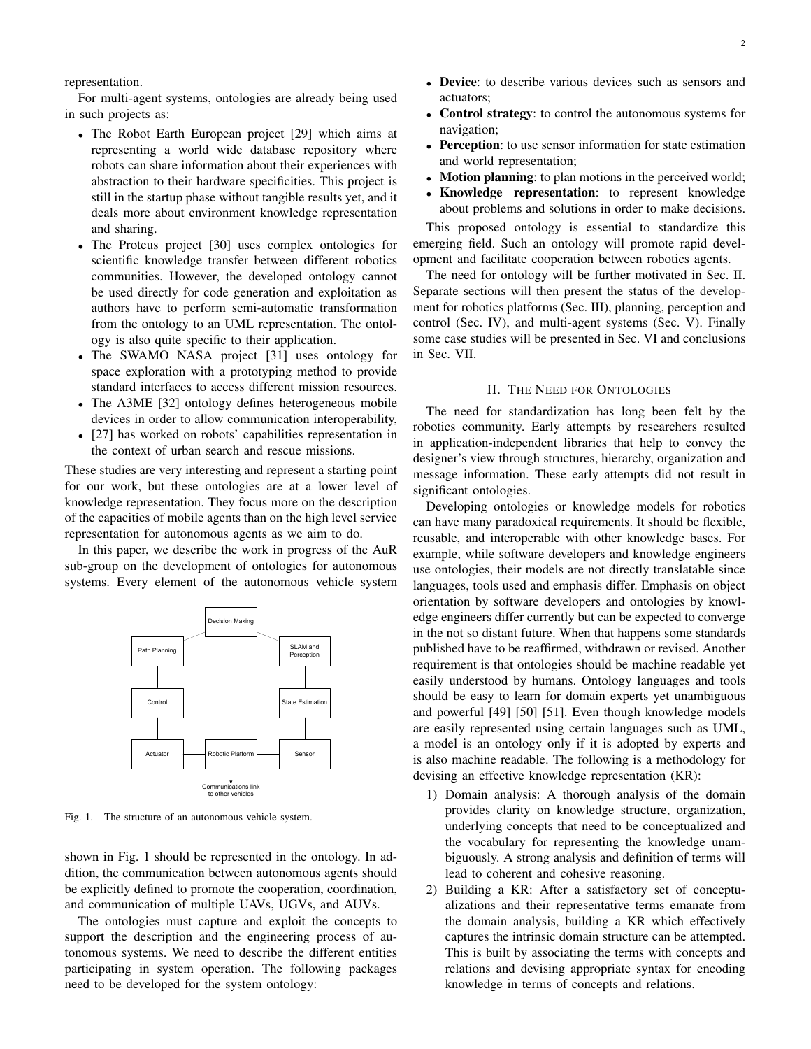For multi-agent systems, ontologies are already being used in such projects as:

- The Robot Earth European project [29] which aims at representing a world wide database repository where robots can share information about their experiences with abstraction to their hardware specificities. This project is still in the startup phase without tangible results yet, and it deals more about environment knowledge representation and sharing.
- The Proteus project [30] uses complex ontologies for scientific knowledge transfer between different robotics communities. However, the developed ontology cannot be used directly for code generation and exploitation as authors have to perform semi-automatic transformation from the ontology to an UML representation. The ontology is also quite specific to their application.
- The SWAMO NASA project [31] uses ontology for space exploration with a prototyping method to provide standard interfaces to access different mission resources.
- The A3ME [32] ontology defines heterogeneous mobile devices in order to allow communication interoperability,
- [27] has worked on robots' capabilities representation in the context of urban search and rescue missions.

These studies are very interesting and represent a starting point for our work, but these ontologies are at a lower level of knowledge representation. They focus more on the description of the capacities of mobile agents than on the high level service representation for autonomous agents as we aim to do.

In this paper, we describe the work in progress of the AuR sub-group on the development of ontologies for autonomous systems. Every element of the autonomous vehicle system



Fig. 1. The structure of an autonomous vehicle system.

shown in Fig. 1 should be represented in the ontology. In addition, the communication between autonomous agents should be explicitly defined to promote the cooperation, coordination, and communication of multiple UAVs, UGVs, and AUVs.

The ontologies must capture and exploit the concepts to support the description and the engineering process of autonomous systems. We need to describe the different entities participating in system operation. The following packages need to be developed for the system ontology:

- Device: to describe various devices such as sensors and actuators;
- Control strategy: to control the autonomous systems for navigation;
- Perception: to use sensor information for state estimation and world representation;
- Motion planning: to plan motions in the perceived world;
- Knowledge representation: to represent knowledge about problems and solutions in order to make decisions.

This proposed ontology is essential to standardize this emerging field. Such an ontology will promote rapid development and facilitate cooperation between robotics agents.

The need for ontology will be further motivated in Sec. II. Separate sections will then present the status of the development for robotics platforms (Sec. III), planning, perception and control (Sec. IV), and multi-agent systems (Sec. V). Finally some case studies will be presented in Sec. VI and conclusions in Sec. VII.

#### II. THE NEED FOR ONTOLOGIES

The need for standardization has long been felt by the robotics community. Early attempts by researchers resulted in application-independent libraries that help to convey the designer's view through structures, hierarchy, organization and message information. These early attempts did not result in significant ontologies.

Developing ontologies or knowledge models for robotics can have many paradoxical requirements. It should be flexible, reusable, and interoperable with other knowledge bases. For example, while software developers and knowledge engineers use ontologies, their models are not directly translatable since languages, tools used and emphasis differ. Emphasis on object orientation by software developers and ontologies by knowledge engineers differ currently but can be expected to converge in the not so distant future. When that happens some standards published have to be reaffirmed, withdrawn or revised. Another requirement is that ontologies should be machine readable yet easily understood by humans. Ontology languages and tools should be easy to learn for domain experts yet unambiguous and powerful [49] [50] [51]. Even though knowledge models are easily represented using certain languages such as UML, a model is an ontology only if it is adopted by experts and is also machine readable. The following is a methodology for devising an effective knowledge representation (KR):

- 1) Domain analysis: A thorough analysis of the domain provides clarity on knowledge structure, organization, underlying concepts that need to be conceptualized and the vocabulary for representing the knowledge unambiguously. A strong analysis and definition of terms will lead to coherent and cohesive reasoning.
- 2) Building a KR: After a satisfactory set of conceptualizations and their representative terms emanate from the domain analysis, building a KR which effectively captures the intrinsic domain structure can be attempted. This is built by associating the terms with concepts and relations and devising appropriate syntax for encoding knowledge in terms of concepts and relations.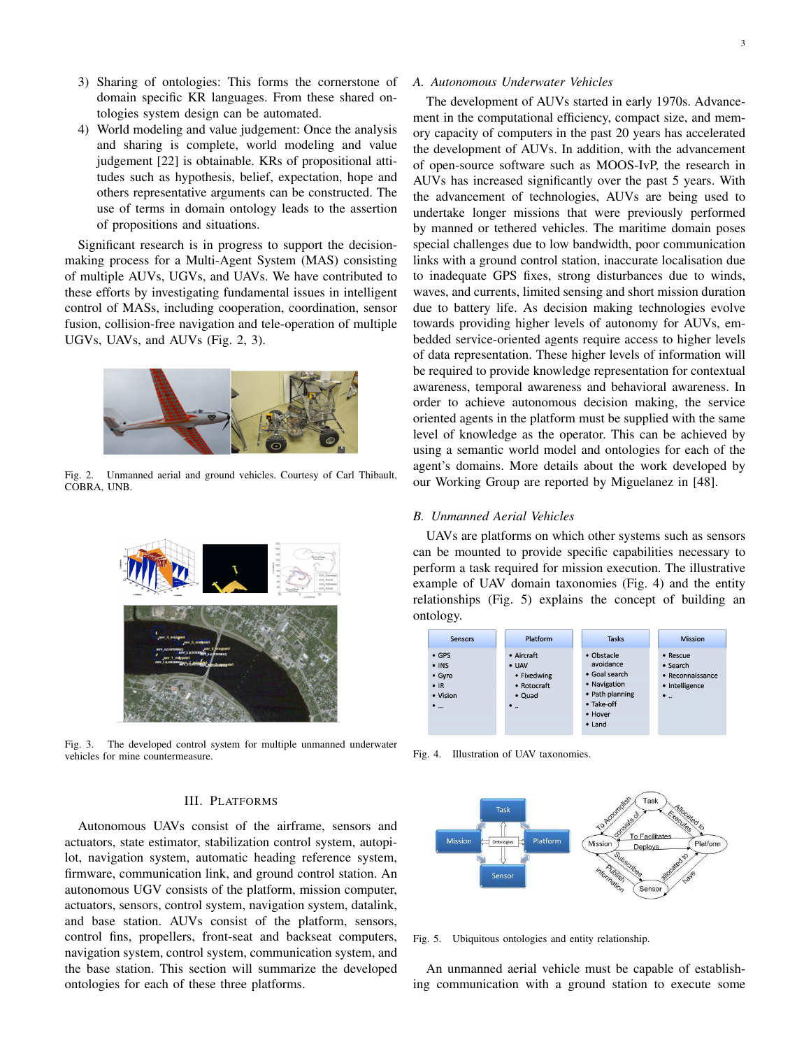- 3) Sharing of ontologies: This forms the cornerstone of domain specific KR languages. From these shared ontologies system design can be automated.
- 4) World modeling and value judgement: Once the analysis and sharing is complete, world modeling and value judgement [22] is obtainable. KRs of propositional attitudes such as hypothesis, belief, expectation, hope and others representative arguments can be constructed. The use of terms in domain ontology leads to the assertion of propositions and situations.

Significant research is in progress to support the decisionmaking process for a Multi-Agent System (MAS) consisting of multiple AUVs, UGVs, and UAVs. We have contributed to these efforts by investigating fundamental issues in intelligent control of MASs, including cooperation, coordination, sensor fusion, collision-free navigation and tele-operation of multiple UGVs, UAVs, and AUVs (Fig. 2, 3).



Fig. 2. Unmanned aerial and ground vehicles. Courtesy of Carl Thibault, COBRA, UNB.



Fig. 3. The developed control system for multiple unmanned underwater vehicles for mine countermeasure.

# III. PLATFORMS

Autonomous UAVs consist of the airframe, sensors and actuators, state estimator, stabilization control system, autopilot, navigation system, automatic heading reference system, firmware, communication link, and ground control station. An autonomous UGV consists of the platform, mission computer, actuators, sensors, control system, navigation system, datalink, and base station. AUVs consist of the platform, sensors, control fins, propellers, front-seat and backseat computers, navigation system, control system, communication system, and the base station. This section will summarize the developed ontologies for each of these three platforms.

The development of AUVs started in early 1970s. Advancement in the computational efficiency, compact size, and memory capacity of computers in the past 20 years has accelerated the development of AUVs. In addition, with the advancement of open-source software such as MOOS-IvP, the research in AUVs has increased significantly over the past 5 years. With the advancement of technologies, AUVs are being used to undertake longer missions that were previously performed by manned or tethered vehicles. The maritime domain poses special challenges due to low bandwidth, poor communication links with a ground control station, inaccurate localisation due to inadequate GPS fixes, strong disturbances due to winds, waves, and currents, limited sensing and short mission duration due to battery life. As decision making technologies evolve towards providing higher levels of autonomy for AUVs, embedded service-oriented agents require access to higher levels of data representation. These higher levels of information will be required to provide knowledge representation for contextual awareness, temporal awareness and behavioral awareness. In order to achieve autonomous decision making, the service oriented agents in the platform must be supplied with the same level of knowledge as the operator. This can be achieved by using a semantic world model and ontologies for each of the agent's domains. More details about the work developed by our Working Group are reported by Miguelanez in [48].

### *B. Unmanned Aerial Vehicles*

UAVs are platforms on which other systems such as sensors can be mounted to provide specific capabilities necessary to perform a task required for mission execution. The illustrative example of UAV domain taxonomies (Fig. 4) and the entity relationships (Fig. 5) explains the concept of building an ontology.



Fig. 4. Illustration of UAV taxonomies.



Fig. 5. Ubiquitous ontologies and entity relationship.

An unmanned aerial vehicle must be capable of establishing communication with a ground station to execute some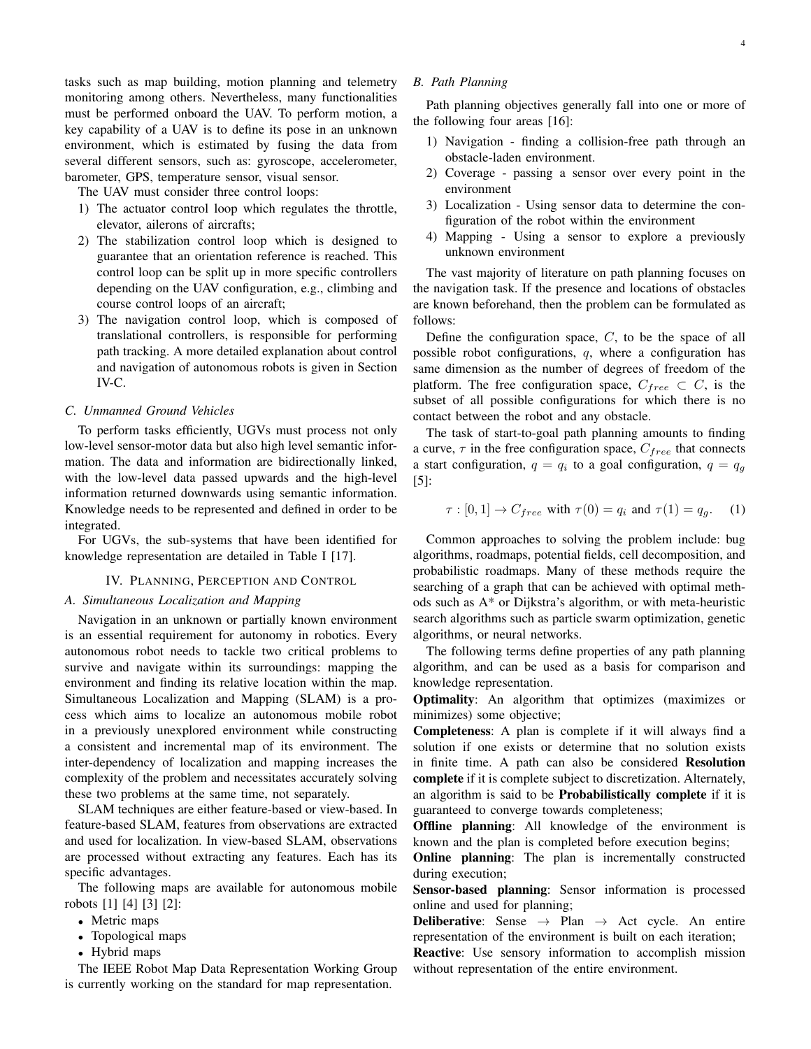tasks such as map building, motion planning and telemetry monitoring among others. Nevertheless, many functionalities must be performed onboard the UAV. To perform motion, a key capability of a UAV is to define its pose in an unknown environment, which is estimated by fusing the data from several different sensors, such as: gyroscope, accelerometer, barometer, GPS, temperature sensor, visual sensor.

The UAV must consider three control loops:

- 1) The actuator control loop which regulates the throttle, elevator, ailerons of aircrafts;
- 2) The stabilization control loop which is designed to guarantee that an orientation reference is reached. This control loop can be split up in more specific controllers depending on the UAV configuration, e.g., climbing and course control loops of an aircraft;
- 3) The navigation control loop, which is composed of translational controllers, is responsible for performing path tracking. A more detailed explanation about control and navigation of autonomous robots is given in Section IV-C.

## *C. Unmanned Ground Vehicles*

To perform tasks efficiently, UGVs must process not only low-level sensor-motor data but also high level semantic information. The data and information are bidirectionally linked, with the low-level data passed upwards and the high-level information returned downwards using semantic information. Knowledge needs to be represented and defined in order to be integrated.

For UGVs, the sub-systems that have been identified for knowledge representation are detailed in Table I [17].

#### IV. PLANNING, PERCEPTION AND CONTROL

#### *A. Simultaneous Localization and Mapping*

Navigation in an unknown or partially known environment is an essential requirement for autonomy in robotics. Every autonomous robot needs to tackle two critical problems to survive and navigate within its surroundings: mapping the environment and finding its relative location within the map. Simultaneous Localization and Mapping (SLAM) is a process which aims to localize an autonomous mobile robot in a previously unexplored environment while constructing a consistent and incremental map of its environment. The inter-dependency of localization and mapping increases the complexity of the problem and necessitates accurately solving these two problems at the same time, not separately.

SLAM techniques are either feature-based or view-based. In feature-based SLAM, features from observations are extracted and used for localization. In view-based SLAM, observations are processed without extracting any features. Each has its specific advantages.

The following maps are available for autonomous mobile robots [1] [4] [3] [2]:

- Metric maps
- Topological maps
- Hybrid maps

The IEEE Robot Map Data Representation Working Group is currently working on the standard for map representation.

#### *B. Path Planning*

Path planning objectives generally fall into one or more of the following four areas [16]:

- 1) Navigation finding a collision-free path through an obstacle-laden environment.
- 2) Coverage passing a sensor over every point in the environment
- 3) Localization Using sensor data to determine the configuration of the robot within the environment
- 4) Mapping Using a sensor to explore a previously unknown environment

The vast majority of literature on path planning focuses on the navigation task. If the presence and locations of obstacles are known beforehand, then the problem can be formulated as follows:

Define the configuration space,  $C$ , to be the space of all possible robot configurations, q, where a configuration has same dimension as the number of degrees of freedom of the platform. The free configuration space,  $C_{free} \subset C$ , is the subset of all possible configurations for which there is no contact between the robot and any obstacle.

The task of start-to-goal path planning amounts to finding a curve,  $\tau$  in the free configuration space,  $C_{free}$  that connects a start configuration,  $q = q_i$  to a goal configuration,  $q = q_g$ [5]:

$$
\tau : [0, 1] \to C_{free} \text{ with } \tau(0) = q_i \text{ and } \tau(1) = q_g. \tag{1}
$$

Common approaches to solving the problem include: bug algorithms, roadmaps, potential fields, cell decomposition, and probabilistic roadmaps. Many of these methods require the searching of a graph that can be achieved with optimal methods such as A\* or Dijkstra's algorithm, or with meta-heuristic search algorithms such as particle swarm optimization, genetic algorithms, or neural networks.

The following terms define properties of any path planning algorithm, and can be used as a basis for comparison and knowledge representation.

Optimality: An algorithm that optimizes (maximizes or minimizes) some objective;

Completeness: A plan is complete if it will always find a solution if one exists or determine that no solution exists in finite time. A path can also be considered Resolution complete if it is complete subject to discretization. Alternately, an algorithm is said to be Probabilistically complete if it is guaranteed to converge towards completeness;

Offline planning: All knowledge of the environment is known and the plan is completed before execution begins;

Online planning: The plan is incrementally constructed during execution;

Sensor-based planning: Sensor information is processed online and used for planning;

**Deliberative:** Sense  $\rightarrow$  Plan  $\rightarrow$  Act cycle. An entire representation of the environment is built on each iteration;

Reactive: Use sensory information to accomplish mission without representation of the entire environment.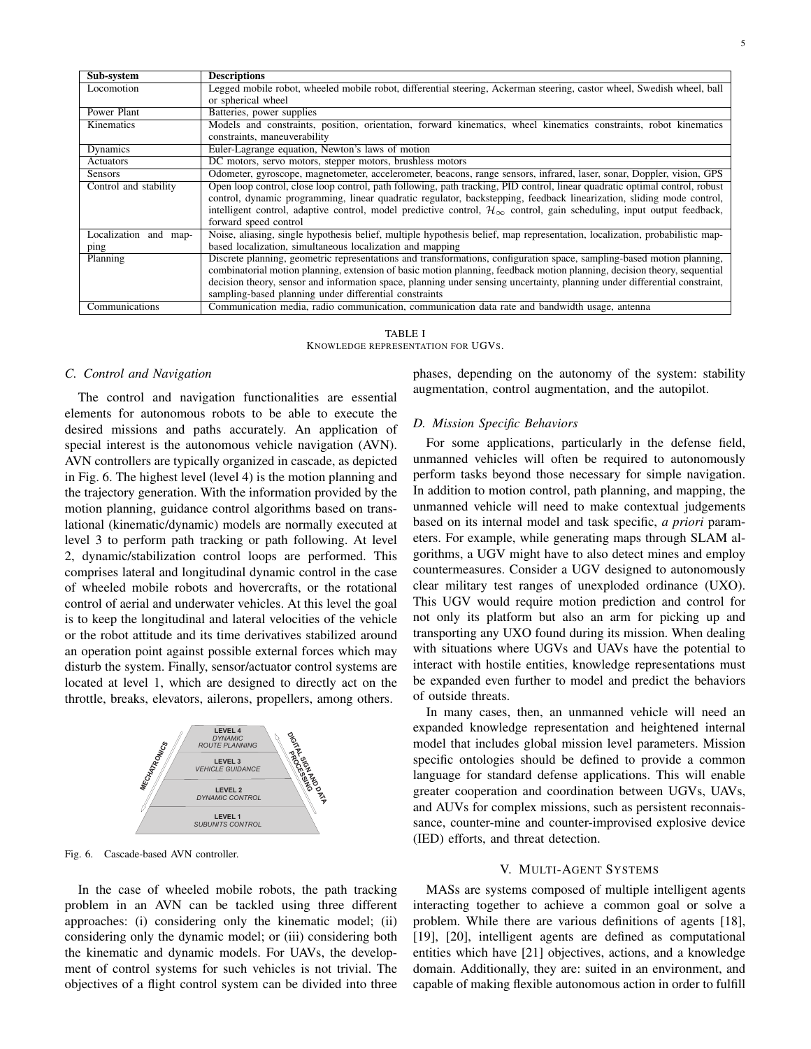| Sub-system            | <b>Descriptions</b>                                                                                                                      |  |  |  |  |  |
|-----------------------|------------------------------------------------------------------------------------------------------------------------------------------|--|--|--|--|--|
| Locomotion            | Legged mobile robot, wheeled mobile robot, differential steering, Ackerman steering, castor wheel, Swedish wheel, ball                   |  |  |  |  |  |
|                       | or spherical wheel                                                                                                                       |  |  |  |  |  |
| Power Plant           | Batteries, power supplies                                                                                                                |  |  |  |  |  |
| Kinematics            | Models and constraints, position, orientation, forward kinematics, wheel kinematics constraints, robot kinematics                        |  |  |  |  |  |
|                       | constraints, maneuverability                                                                                                             |  |  |  |  |  |
| Dynamics              | Euler-Lagrange equation, Newton's laws of motion                                                                                         |  |  |  |  |  |
| Actuators             | DC motors, servo motors, stepper motors, brushless motors                                                                                |  |  |  |  |  |
| <b>Sensors</b>        | Odometer, gyroscope, magnetometer, accelerometer, beacons, range sensors, infrared, laser, sonar, Doppler, vision, GPS                   |  |  |  |  |  |
| Control and stability | Open loop control, close loop control, path following, path tracking, PID control, linear quadratic optimal control, robust              |  |  |  |  |  |
|                       | control, dynamic programming, linear quadratic regulator, backstepping, feedback linearization, sliding mode control,                    |  |  |  |  |  |
|                       | intelligent control, adaptive control, model predictive control, $\mathcal{H}_{\infty}$ control, gain scheduling, input output feedback, |  |  |  |  |  |
|                       | forward speed control                                                                                                                    |  |  |  |  |  |
| Localization and map- | Noise, aliasing, single hypothesis belief, multiple hypothesis belief, map representation, localization, probabilistic map-              |  |  |  |  |  |
| ping                  | based localization, simultaneous localization and mapping                                                                                |  |  |  |  |  |
| Planning              | Discrete planning, geometric representations and transformations, configuration space, sampling-based motion planning,                   |  |  |  |  |  |
|                       | combinatorial motion planning, extension of basic motion planning, feedback motion planning, decision theory, sequential                 |  |  |  |  |  |
|                       | decision theory, sensor and information space, planning under sensing uncertainty, planning under differential constraint,               |  |  |  |  |  |
|                       | sampling-based planning under differential constraints                                                                                   |  |  |  |  |  |
| Communications        | Communication media, radio communication, communication data rate and bandwidth usage, antenna                                           |  |  |  |  |  |

TABLE I KNOWLEDGE REPRESENTATION FOR UGVS.

#### *C. Control and Navigation*

The control and navigation functionalities are essential elements for autonomous robots to be able to execute the desired missions and paths accurately. An application of special interest is the autonomous vehicle navigation (AVN). AVN controllers are typically organized in cascade, as depicted in Fig. 6. The highest level (level 4) is the motion planning and the trajectory generation. With the information provided by the motion planning, guidance control algorithms based on translational (kinematic/dynamic) models are normally executed at level 3 to perform path tracking or path following. At level 2, dynamic/stabilization control loops are performed. This comprises lateral and longitudinal dynamic control in the case of wheeled mobile robots and hovercrafts, or the rotational control of aerial and underwater vehicles. At this level the goal is to keep the longitudinal and lateral velocities of the vehicle or the robot attitude and its time derivatives stabilized around an operation point against possible external forces which may disturb the system. Finally, sensor/actuator control systems are located at level 1, which are designed to directly act on the throttle, breaks, elevators, ailerons, propellers, among others.



Fig. 6. Cascade-based AVN controller.

In the case of wheeled mobile robots, the path tracking problem in an AVN can be tackled using three different approaches: (i) considering only the kinematic model; (ii) considering only the dynamic model; or (iii) considering both the kinematic and dynamic models. For UAVs, the development of control systems for such vehicles is not trivial. The objectives of a flight control system can be divided into three phases, depending on the autonomy of the system: stability augmentation, control augmentation, and the autopilot.

# *D. Mission Specific Behaviors*

For some applications, particularly in the defense field, unmanned vehicles will often be required to autonomously perform tasks beyond those necessary for simple navigation. In addition to motion control, path planning, and mapping, the unmanned vehicle will need to make contextual judgements based on its internal model and task specific, *a priori* parameters. For example, while generating maps through SLAM algorithms, a UGV might have to also detect mines and employ countermeasures. Consider a UGV designed to autonomously clear military test ranges of unexploded ordinance (UXO). This UGV would require motion prediction and control for not only its platform but also an arm for picking up and transporting any UXO found during its mission. When dealing with situations where UGVs and UAVs have the potential to interact with hostile entities, knowledge representations must be expanded even further to model and predict the behaviors of outside threats.

In many cases, then, an unmanned vehicle will need an expanded knowledge representation and heightened internal model that includes global mission level parameters. Mission specific ontologies should be defined to provide a common language for standard defense applications. This will enable greater cooperation and coordination between UGVs, UAVs, and AUVs for complex missions, such as persistent reconnaissance, counter-mine and counter-improvised explosive device (IED) efforts, and threat detection.

#### V. MULTI-AGENT SYSTEMS

MASs are systems composed of multiple intelligent agents interacting together to achieve a common goal or solve a problem. While there are various definitions of agents [18], [19], [20], intelligent agents are defined as computational entities which have [21] objectives, actions, and a knowledge domain. Additionally, they are: suited in an environment, and capable of making flexible autonomous action in order to fulfill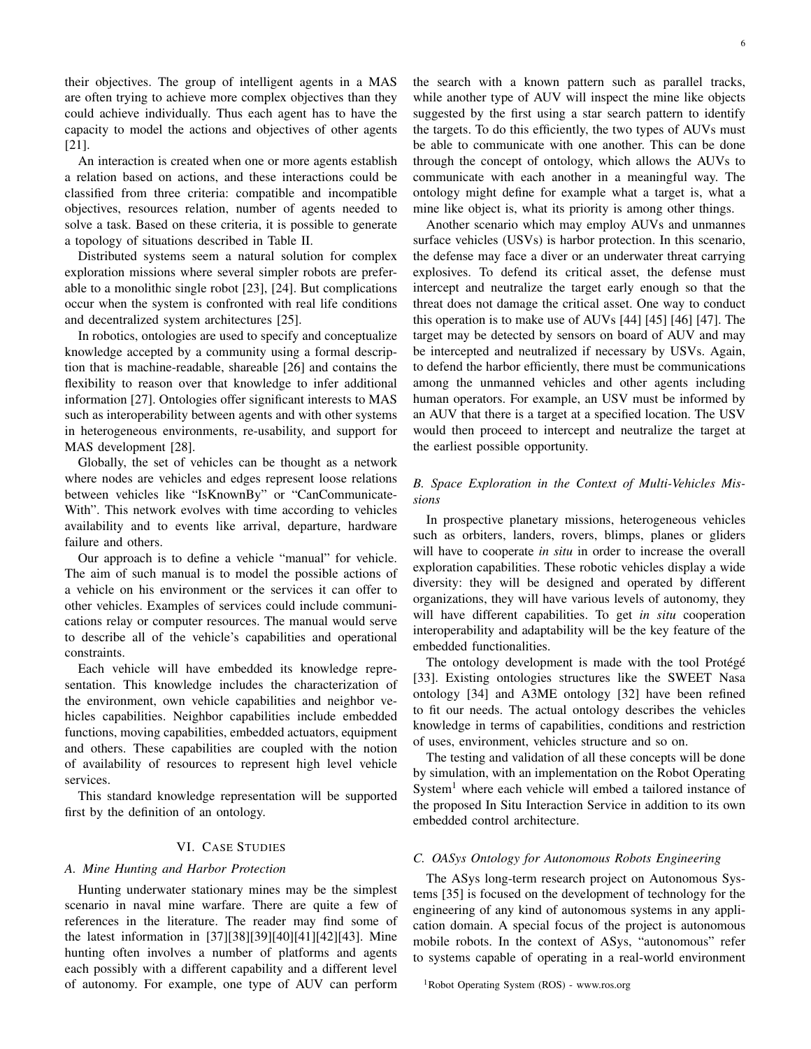their objectives. The group of intelligent agents in a MAS are often trying to achieve more complex objectives than they could achieve individually. Thus each agent has to have the capacity to model the actions and objectives of other agents [21].

An interaction is created when one or more agents establish a relation based on actions, and these interactions could be classified from three criteria: compatible and incompatible objectives, resources relation, number of agents needed to solve a task. Based on these criteria, it is possible to generate a topology of situations described in Table II.

Distributed systems seem a natural solution for complex exploration missions where several simpler robots are preferable to a monolithic single robot [23], [24]. But complications occur when the system is confronted with real life conditions and decentralized system architectures [25].

In robotics, ontologies are used to specify and conceptualize knowledge accepted by a community using a formal description that is machine-readable, shareable [26] and contains the flexibility to reason over that knowledge to infer additional information [27]. Ontologies offer significant interests to MAS such as interoperability between agents and with other systems in heterogeneous environments, re-usability, and support for MAS development [28].

Globally, the set of vehicles can be thought as a network where nodes are vehicles and edges represent loose relations between vehicles like "IsKnownBy" or "CanCommunicate-With". This network evolves with time according to vehicles availability and to events like arrival, departure, hardware failure and others.

Our approach is to define a vehicle "manual" for vehicle. The aim of such manual is to model the possible actions of a vehicle on his environment or the services it can offer to other vehicles. Examples of services could include communications relay or computer resources. The manual would serve to describe all of the vehicle's capabilities and operational constraints.

Each vehicle will have embedded its knowledge representation. This knowledge includes the characterization of the environment, own vehicle capabilities and neighbor vehicles capabilities. Neighbor capabilities include embedded functions, moving capabilities, embedded actuators, equipment and others. These capabilities are coupled with the notion of availability of resources to represent high level vehicle services.

This standard knowledge representation will be supported first by the definition of an ontology.

## VI. CASE STUDIES

# *A. Mine Hunting and Harbor Protection*

Hunting underwater stationary mines may be the simplest scenario in naval mine warfare. There are quite a few of references in the literature. The reader may find some of the latest information in [37][38][39][40][41][42][43]. Mine hunting often involves a number of platforms and agents each possibly with a different capability and a different level of autonomy. For example, one type of AUV can perform

the search with a known pattern such as parallel tracks, while another type of AUV will inspect the mine like objects suggested by the first using a star search pattern to identify the targets. To do this efficiently, the two types of AUVs must be able to communicate with one another. This can be done through the concept of ontology, which allows the AUVs to communicate with each another in a meaningful way. The ontology might define for example what a target is, what a mine like object is, what its priority is among other things.

Another scenario which may employ AUVs and unmannes surface vehicles (USVs) is harbor protection. In this scenario, the defense may face a diver or an underwater threat carrying explosives. To defend its critical asset, the defense must intercept and neutralize the target early enough so that the threat does not damage the critical asset. One way to conduct this operation is to make use of AUVs [44] [45] [46] [47]. The target may be detected by sensors on board of AUV and may be intercepted and neutralized if necessary by USVs. Again, to defend the harbor efficiently, there must be communications among the unmanned vehicles and other agents including human operators. For example, an USV must be informed by an AUV that there is a target at a specified location. The USV would then proceed to intercept and neutralize the target at the earliest possible opportunity.

# *B. Space Exploration in the Context of Multi-Vehicles Missions*

In prospective planetary missions, heterogeneous vehicles such as orbiters, landers, rovers, blimps, planes or gliders will have to cooperate *in situ* in order to increase the overall exploration capabilities. These robotic vehicles display a wide diversity: they will be designed and operated by different organizations, they will have various levels of autonomy, they will have different capabilities. To get *in situ* cooperation interoperability and adaptability will be the key feature of the embedded functionalities.

The ontology development is made with the tool Protégé [33]. Existing ontologies structures like the SWEET Nasa ontology [34] and A3ME ontology [32] have been refined to fit our needs. The actual ontology describes the vehicles knowledge in terms of capabilities, conditions and restriction of uses, environment, vehicles structure and so on.

The testing and validation of all these concepts will be done by simulation, with an implementation on the Robot Operating System<sup>1</sup> where each vehicle will embed a tailored instance of the proposed In Situ Interaction Service in addition to its own embedded control architecture.

# *C. OASys Ontology for Autonomous Robots Engineering*

The ASys long-term research project on Autonomous Systems [35] is focused on the development of technology for the engineering of any kind of autonomous systems in any application domain. A special focus of the project is autonomous mobile robots. In the context of ASys, "autonomous" refer to systems capable of operating in a real-world environment

<sup>1</sup>Robot Operating System (ROS) - www.ros.org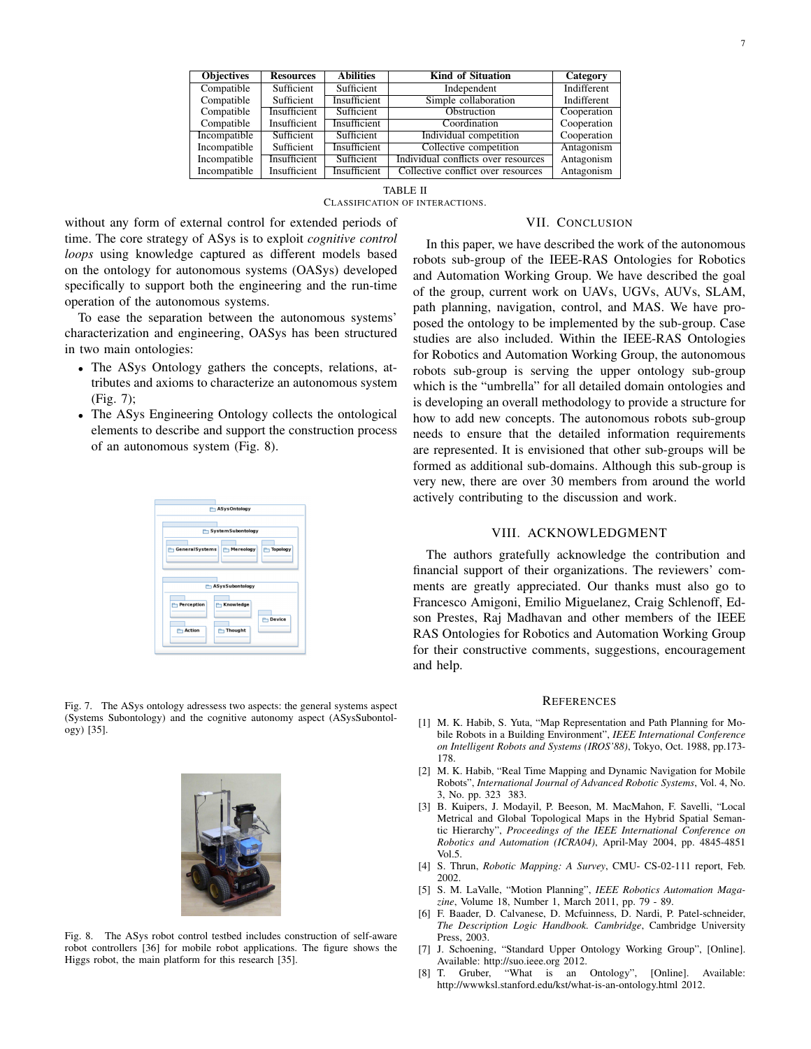| <b>Objectives</b> | <b>Resources</b> | <b>Abilities</b> | <b>Kind of Situation</b> | Category    |
|-------------------|------------------|------------------|--------------------------|-------------|
| Compatible        | Sufficient       | Sufficient       | Independent              | Indifferent |
| Compatible        | Sufficient       | Insufficient     | Simple collaboration     | Indifferent |
| Compatible        | Insufficient     | Sufficient       | Obstruction              | Cooperation |
| Compatible        | Insufficient     | Insufficient     | Coordination             | Cooperation |

| Incompatible | Insufficient | Insufficient | Collective conflict over resources | Antagonism |  |  |  |  |
|--------------|--------------|--------------|------------------------------------|------------|--|--|--|--|
|              |              |              | TABLE II                           |            |  |  |  |  |
|              |              |              |                                    |            |  |  |  |  |
|              |              |              | CLASSIFICATION OF INTERACTIONS.    |            |  |  |  |  |

Incompatible Sufficient Sufficient Individual competition Cooperation<br>Incompatible Sufficient Insufficient Collective competition Antagonism Sufficient Insufficient Collective competition Incompatible Insufficient Sufficient Individual conflicts over resources Antagonism

# VII. CONCLUSION

without any form of external control for extended periods of time. The core strategy of ASys is to exploit *cognitive control loops* using knowledge captured as different models based on the ontology for autonomous systems (OASys) developed specifically to support both the engineering and the run-time operation of the autonomous systems.

To ease the separation between the autonomous systems' characterization and engineering, OASys has been structured in two main ontologies:

- The ASys Ontology gathers the concepts, relations, attributes and axioms to characterize an autonomous system (Fig. 7);
- The ASys Engineering Ontology collects the ontological elements to describe and support the construction process of an autonomous system (Fig. 8).

| ASys Ontology                                                                             |
|-------------------------------------------------------------------------------------------|
| SystemSubontology                                                                         |
| General Systems<br>Mereology<br><b>Topology</b>                                           |
| ASysSubontology                                                                           |
| <b>Perception</b><br><b>Knowledge</b><br><b>P</b> Device<br>Thought<br><b>Action</b><br>m |

Fig. 7. The ASys ontology adressess two aspects: the general systems aspect (Systems Subontology) and the cognitive autonomy aspect (ASysSubontology) [35].



Fig. 8. The ASys robot control testbed includes construction of self-aware robot controllers [36] for mobile robot applications. The figure shows the Higgs robot, the main platform for this research [35].

In this paper, we have described the work of the autonomous robots sub-group of the IEEE-RAS Ontologies for Robotics and Automation Working Group. We have described the goal of the group, current work on UAVs, UGVs, AUVs, SLAM, path planning, navigation, control, and MAS. We have proposed the ontology to be implemented by the sub-group. Case studies are also included. Within the IEEE-RAS Ontologies for Robotics and Automation Working Group, the autonomous robots sub-group is serving the upper ontology sub-group which is the "umbrella" for all detailed domain ontologies and is developing an overall methodology to provide a structure for how to add new concepts. The autonomous robots sub-group needs to ensure that the detailed information requirements are represented. It is envisioned that other sub-groups will be formed as additional sub-domains. Although this sub-group is very new, there are over 30 members from around the world actively contributing to the discussion and work.

## VIII. ACKNOWLEDGMENT

The authors gratefully acknowledge the contribution and financial support of their organizations. The reviewers' comments are greatly appreciated. Our thanks must also go to Francesco Amigoni, Emilio Miguelanez, Craig Schlenoff, Edson Prestes, Raj Madhavan and other members of the IEEE RAS Ontologies for Robotics and Automation Working Group for their constructive comments, suggestions, encouragement and help.

#### **REFERENCES**

- [1] M. K. Habib, S. Yuta, "Map Representation and Path Planning for Mobile Robots in a Building Environment", *IEEE International Conference on Intelligent Robots and Systems (IROS'88)*, Tokyo, Oct. 1988, pp.173- 178.
- [2] M. K. Habib, "Real Time Mapping and Dynamic Navigation for Mobile Robots", *International Journal of Advanced Robotic Systems*, Vol. 4, No. 3, No. pp. 323 383.
- [3] B. Kuipers, J. Modayil, P. Beeson, M. MacMahon, F. Savelli, "Local Metrical and Global Topological Maps in the Hybrid Spatial Semantic Hierarchy", *Proceedings of the IEEE International Conference on Robotics and Automation (ICRA04)*, April-May 2004, pp. 4845-4851 Vol.5.
- [4] S. Thrun, *Robotic Mapping: A Survey*, CMU- CS-02-111 report, Feb. 2002.
- [5] S. M. LaValle, "Motion Planning", *IEEE Robotics Automation Magazine*, Volume 18, Number 1, March 2011, pp. 79 - 89.
- [6] F. Baader, D. Calvanese, D. Mcfuinness, D. Nardi, P. Patel-schneider, *The Description Logic Handbook. Cambridge*, Cambridge University Press, 2003.
- [7] J. Schoening, "Standard Upper Ontology Working Group", [Online]. Available: http://suo.ieee.org 2012.
- [8] T. Gruber, "What is an Ontology", [Online]. Available: http://wwwksl.stanford.edu/kst/what-is-an-ontology.html 2012.